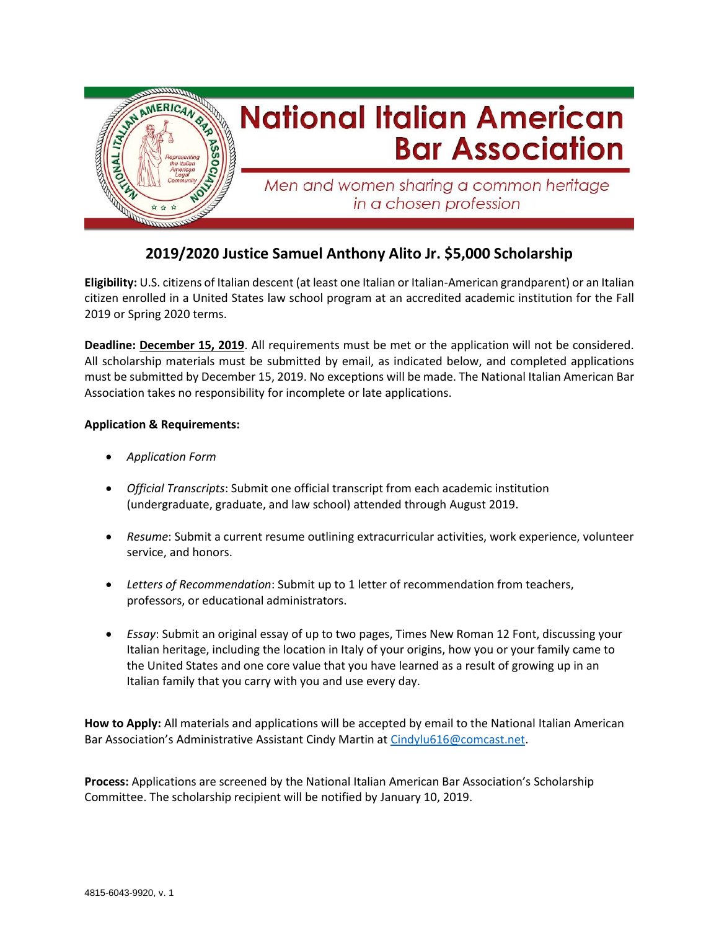

## **2019/2020 Justice Samuel Anthony Alito Jr. \$5,000 Scholarship**

**Eligibility:** U.S. citizens of Italian descent (at least one Italian or Italian-American grandparent) or an Italian citizen enrolled in a United States law school program at an accredited academic institution for the Fall 2019 or Spring 2020 terms.

**Deadline: December 15, 2019**. All requirements must be met or the application will not be considered. All scholarship materials must be submitted by email, as indicated below, and completed applications must be submitted by December 15, 2019. No exceptions will be made. The National Italian American Bar Association takes no responsibility for incomplete or late applications.

## **Application & Requirements:**

- *Application Form*
- *Official Transcripts*: Submit one official transcript from each academic institution (undergraduate, graduate, and law school) attended through August 2019.
- *Resume*: Submit a current resume outlining extracurricular activities, work experience, volunteer service, and honors.
- *Letters of Recommendation*: Submit up to 1 letter of recommendation from teachers, professors, or educational administrators.
- *Essay*: Submit an original essay of up to two pages, Times New Roman 12 Font, discussing your Italian heritage, including the location in Italy of your origins, how you or your family came to the United States and one core value that you have learned as a result of growing up in an Italian family that you carry with you and use every day.

**How to Apply:** All materials and applications will be accepted by email to the National Italian American Bar Association's Administrative Assistant Cindy Martin a[t Cindylu616@comcast.net.](mailto:Cindylu616@comcast.net)

**Process:** Applications are screened by the National Italian American Bar Association's Scholarship Committee. The scholarship recipient will be notified by January 10, 2019.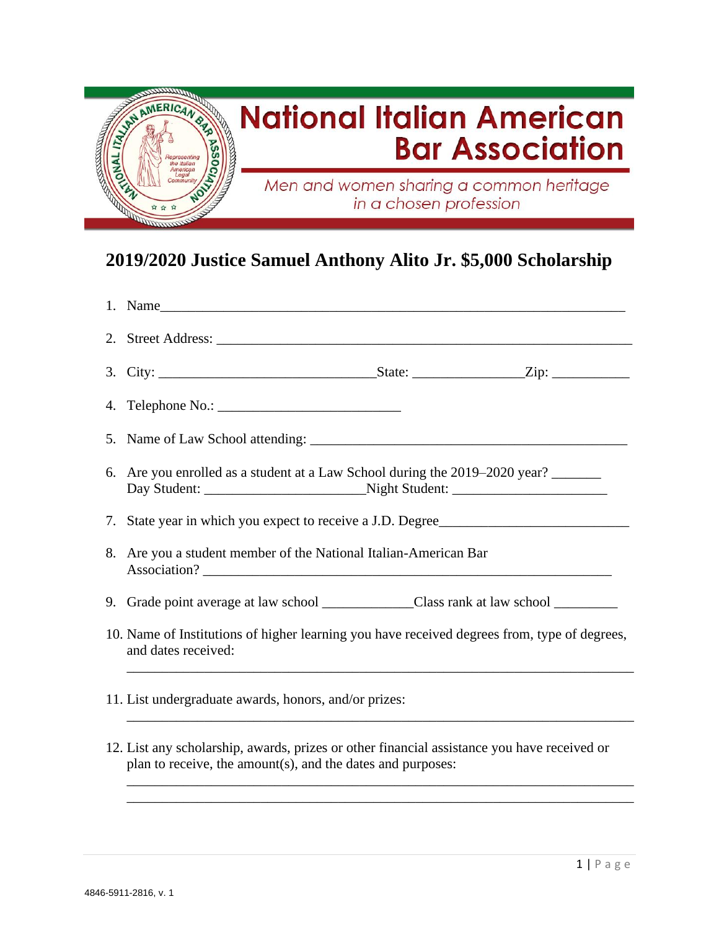

## **2019/2020 Justice Samuel Anthony Alito Jr. \$5,000 Scholarship**

| 1. Name                                                                                                                                                    |
|------------------------------------------------------------------------------------------------------------------------------------------------------------|
|                                                                                                                                                            |
|                                                                                                                                                            |
|                                                                                                                                                            |
|                                                                                                                                                            |
| 6. Are you enrolled as a student at a Law School during the 2019–2020 year?                                                                                |
| 7. State year in which you expect to receive a J.D. Degree                                                                                                 |
| 8. Are you a student member of the National Italian-American Bar                                                                                           |
| 9. Grade point average at law school _______________________Class rank at law school ______________                                                        |
| 10. Name of Institutions of higher learning you have received degrees from, type of degrees,<br>and dates received:                                        |
| 11. List undergraduate awards, honors, and/or prizes:                                                                                                      |
| 12. List any scholarship, awards, prizes or other financial assistance you have received or<br>plan to receive, the amount(s), and the dates and purposes: |

\_\_\_\_\_\_\_\_\_\_\_\_\_\_\_\_\_\_\_\_\_\_\_\_\_\_\_\_\_\_\_\_\_\_\_\_\_\_\_\_\_\_\_\_\_\_\_\_\_\_\_\_\_\_\_\_\_\_\_\_\_\_\_\_\_\_\_\_\_\_\_\_ \_\_\_\_\_\_\_\_\_\_\_\_\_\_\_\_\_\_\_\_\_\_\_\_\_\_\_\_\_\_\_\_\_\_\_\_\_\_\_\_\_\_\_\_\_\_\_\_\_\_\_\_\_\_\_\_\_\_\_\_\_\_\_\_\_\_\_\_\_\_\_\_